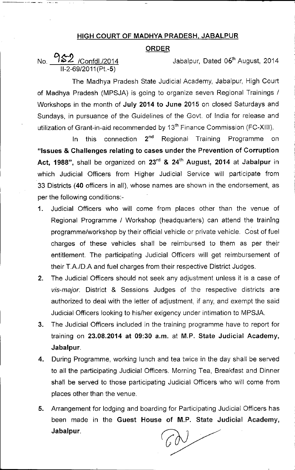## HIGH COURT OF MADHYA PRADESH, JABALPUR

## **ORDER**

No. 252 /Confdl./2014 Jabalpur, Dated 06<sup>th</sup> August, 2014 11-2-69/2011(Pt.-5)

The Madhya Pradesh State Judicial Academy, Jabalpur, High Court of Madhya Pradesh (MPSJA) is going to organize seven Regional Trainings / Workshops in the month of July 2014 to June 2015 on closed Saturdays and Sundays, in pursuance of the Guidelines of the Govt. of India for release and utilization of Grant-in-aid recommended by 13<sup>th</sup> Finance Commission (FC-XIII).

In this connection 2<sup>nd</sup> Regional Training Programme on "Issues & Challenges relating to cases under the Prevention of Corruption Act, 1988", shall be organized on 23<sup>rd</sup> & 24<sup>th</sup> August, 2014 at Jabalpur in which Judicial Officers from Higher Judicial Service will participate from 33 Districts (40 officers in all), whose names are shown in the endorsement, as per the following conditions:-

- 1. Judicial Officers who will come from places other than the venue of Regional Programme / Workshop (headquarters) can attend the training programme/workshop by their official vehicle or private vehicle. Cost of fuel charges of these vehicles shall be reimbursed to them as per thejr entitlement. The participating Judicial Officers will get reimbursement of their T.A./D.A and fuel charges from their respective District Judges.
- 2. The Judicial Officers should not seek any adjustment unless it is a case of *vis-major.* District & Sessions Judges of the respective districts are authorized to deal with the letter of adjustment, if any, and exempt the said Judicial Officers looking to his/her exigency under intimation to MPSJA.
- 3. The Judicial Officers included in the training programme have to report for training on 23.08.2014 at 09:30 a.m. at M.P. State Judicial Academy, Jabalpur.
- 4. During Programme, working lunch and tea twice in the day shall be served to all the participating Judicial Officers. Morning Tea, Breakfast and Dinner shall be served to those participating Judicial Officers who will come from places other than the venue.
- 5. Arrangement for lodging and boarding for Participating Judicial Officers has been made in the Guest House of M,P. State Judicial Academy, Jabalpur.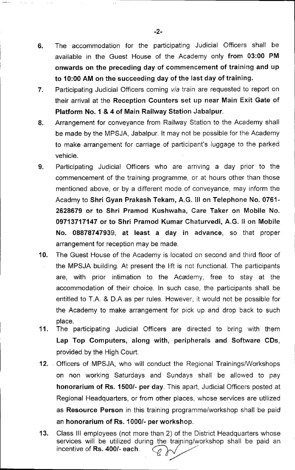- 6. The accommodation for the participating Judicial Officers shall be available in the Guest House of the Academy only from 03:00 PM onwards on the preceding day of commencement of training and up to 10:00 AM on the succeeding day of the last day of training.
- 7. Participating Judicial Officers coming *via* train are requested to report on their arrival at the Reception Counters set up near Main Exit Gate of Platform NO.1 & 4 of Main Railway Station Jabalpur.
- 8. Arrangement for conveyance from Railway Station to the Academy shall be made by the MPSJA, Jabalpur. It may not be possible for the Academy to make arrangement for carriage of participant's luggage to the parked vehicle.
- 9. Participating Judicial Officers who are arriving a day prior to the commencement of the training programme, or at hours other than those mentioned above, or by a different mode of conveyance, may inform the Acadmy to Shri Gyan Prakash Tekam, A.G. III on Telephone No. 0761- 2628679 or to Shri Pramod Kushwaha, Care Taker on Mobile No. 09713717147 or to Shri Pramod Kumar Chaturvedi, A.G. II on Mobile No. 08878747939, at least a day in advance, so that proper arrangement for reception may be made.
- 10. The Guest House of the Academy is located on second and third floor of the MPSJA building. At present the lift is not functional. The participants are, with prior intimation to the Academy, free to stay at the accommodation of their choice. In such case, the participants shall be entitled to T.A. & D.A as per rules. However, it would not be possible for the Academy to make arrangement for pick up and drop back to such place.
- 11. The participating Judicial Officers are directed to bring with them Lap Top Computers, along with, peripherals and Software CDs, provided by the High Court.
- 12. Officers of MPSJA, who will conduct the Regional Trainings/Workshops on non working Saturdays and Sundays shall be allowed to pay honorarium of Rs. 1500/- per day. This apart, Judicial Officers posted at Regional Headquarters, or from other places, whose services are utilized as Resource Person in this training programme/workshop shall be paid an honorarium of Rs. 1000/- per workshop.
- 13. Class III employees (not more than 2) of the District Headquarters whose services will be utilized during the training/workshop shall be paid an an **nonorarium of Rs. 1000/- per worksnop**.<br>Class III employees (not more than 2) of the D<br>services will be utilized during the training/v<br>incentive of **Rs. 400/- each**.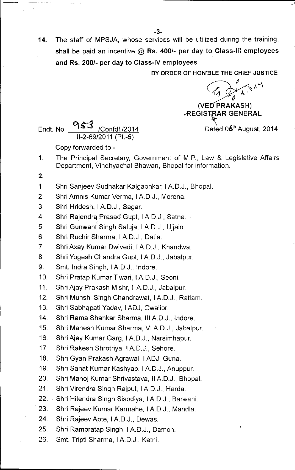\_.-.=-:-----------------------------....,.'

14. The staff of MPSJA, whose services will be utilized during the training, shall be paid an incentive @ Rs. *400/-* per day to Class-III employees and Rs. *200/-* per day to Class-IV employees.

BY ORDER OF HON'BLE THE CHIEF JUSTICE

 $4714$  $\mathcal{C}_1$   $\mathcal{D}_2$ 

(VED PRAKASH) *REGISTRAR GENERAL* 

Endt. No.  $953$  /Confdl./2014 Dated 06<sup>th</sup> August, 2014 11-2-69/2011(Pt.-5)

Copy forwarded to:-

- The Principal Secretary, Government of M.P., Law & Legislative Affairs Department, Vindhyachal Bhawan, Bhopal for information. 1.
- 2.
- 1. Shri Sanjeev Sudhakar Kalgaonkar, IAD.J., Bhopal.
- 2. Shri Amnis Kumar Verma, I A.D.J., Morena.
- 3. Shri Hridesh, IAD.J., Sagar.
- 4. Shri Rajendra Prasad Gupt, IAD.J., Satna.
- 5. Shri Gunwant Singh Saluja, IAD.J., Ujjain.
- 6. Shri Ruchir Sharma, IAD.J., Datia.
- 7. Shri Axay Kumar Dwivedi, IAD.J., Khandwa.
- 8. Shri Yogesh Chandra Gupt, I.A.D.J., Jabalpur.
- 9. Smt. Indra Singh, IA.D.J., Indore.
- 10. Shri Pratap Kumar Tiwari, IAD.J., Seoni.
- 11. Shri Ajay Prakash Mishr, Ii A.D.J., Jabalpur.
- 12. Shri Munshi Singh Chandrawat, I A.D.J., Ratlam.
- 13. Shri Sabhapati Yadav, IADJ, Gwalior.
- 14. Shri Rama Shankar Sharma, III A.D.J., Indore.
- 15. Shri Mahesh Kumar Sharma, VI A.D.J., Jabalpur.
- 16. Shri Ajay Kumar Garg, I A.D.J., Narsimhapur.
- 17. Shri Rakesh Shrotriya, I A.D.J., Sehore.
- 18. Shri Gyan Prakash Agrawal, IADJ, Guna.
- 19. Shri Sanat Kumar Kashyap, I A.D.J., Anuppur.
- 20. Shri Manoj Kumar Shrivastava, II A.D.J., Bhopal.
- 21. Shri Virendra Singh Rajput, I A.D.J., Harda.
- 22. Shri Hitendra Singh Sisodiya, IA.D.J., Barwani.
- 23. Shri Rajeev Kumar Karmahe, IAD.J., Mandla.
- 24. Shri Rajeev Apte, I A.D.J., Dewas.
- 25. Shri Rampratap Singh, IAD.J., Damoh.
- 26. Smt. Tripti Sharma, IAD.J., Katni.